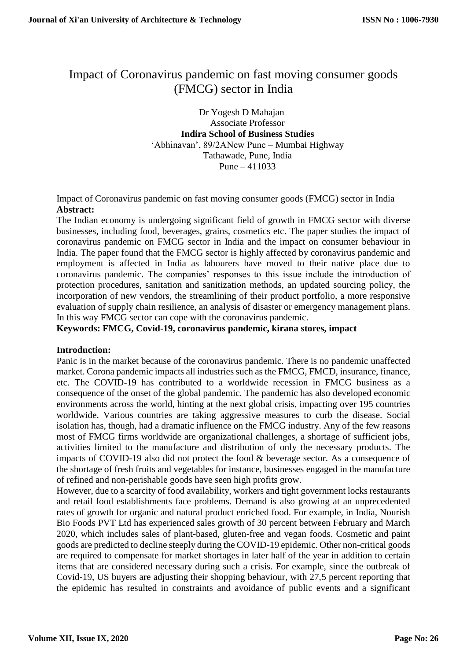# Impact of Coronavirus pandemic on fast moving consumer goods (FMCG) sector in India

Dr Yogesh D Mahajan Associate Professor **Indira School of Business Studies** 'Abhinavan', 89/2ANew Pune – Mumbai Highway Tathawade, Pune, India Pune – 411033

Impact of Coronavirus pandemic on fast moving consumer goods (FMCG) sector in India **Abstract:**

The Indian economy is undergoing significant field of growth in FMCG sector with diverse businesses, including food, beverages, grains, cosmetics etc. The paper studies the impact of coronavirus pandemic on FMCG sector in India and the impact on consumer behaviour in India. The paper found that the FMCG sector is highly affected by coronavirus pandemic and employment is affected in India as labourers have moved to their native place due to coronavirus pandemic. The companies' responses to this issue include the introduction of protection procedures, sanitation and sanitization methods, an updated sourcing policy, the incorporation of new vendors, the streamlining of their product portfolio, a more responsive evaluation of supply chain resilience, an analysis of disaster or emergency management plans. In this way FMCG sector can cope with the coronavirus pandemic.

**Keywords: FMCG, Covid-19, coronavirus pandemic, kirana stores, impact**

### **Introduction:**

Panic is in the market because of the coronavirus pandemic. There is no pandemic unaffected market. Corona pandemic impacts all industries such as the FMCG, FMCD, insurance, finance, etc. The COVID-19 has contributed to a worldwide recession in FMCG business as a consequence of the onset of the global pandemic. The pandemic has also developed economic environments across the world, hinting at the next global crisis, impacting over 195 countries worldwide. Various countries are taking aggressive measures to curb the disease. Social isolation has, though, had a dramatic influence on the FMCG industry. Any of the few reasons most of FMCG firms worldwide are organizational challenges, a shortage of sufficient jobs, activities limited to the manufacture and distribution of only the necessary products. The impacts of COVID-19 also did not protect the food & beverage sector. As a consequence of the shortage of fresh fruits and vegetables for instance, businesses engaged in the manufacture of refined and non-perishable goods have seen high profits grow.

However, due to a scarcity of food availability, workers and tight government locks restaurants and retail food establishments face problems. Demand is also growing at an unprecedented rates of growth for organic and natural product enriched food. For example, in India, Nourish Bio Foods PVT Ltd has experienced sales growth of 30 percent between February and March 2020, which includes sales of plant-based, gluten-free and vegan foods. Cosmetic and paint goods are predicted to decline steeply during the COVID-19 epidemic. Other non-critical goods are required to compensate for market shortages in later half of the year in addition to certain items that are considered necessary during such a crisis. For example, since the outbreak of Covid-19, US buyers are adjusting their shopping behaviour, with 27,5 percent reporting that the epidemic has resulted in constraints and avoidance of public events and a significant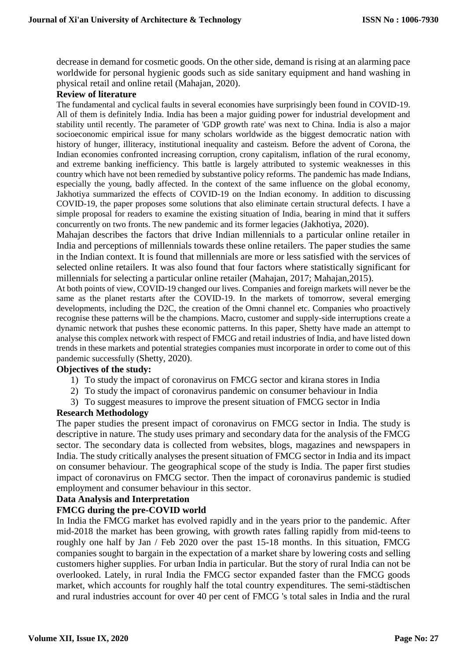decrease in demand for cosmetic goods. On the other side, demand is rising at an alarming pace worldwide for personal hygienic goods such as side sanitary equipment and hand washing in physical retail and online retail (Mahajan, 2020).

### **Review of literature**

The fundamental and cyclical faults in several economies have surprisingly been found in COVID-19. All of them is definitely India. India has been a major guiding power for industrial development and stability until recently. The parameter of 'GDP growth rate' was next to China. India is also a major socioeconomic empirical issue for many scholars worldwide as the biggest democratic nation with history of hunger, illiteracy, institutional inequality and casteism. Before the advent of Corona, the Indian economies confronted increasing corruption, crony capitalism, inflation of the rural economy, and extreme banking inefficiency. This battle is largely attributed to systemic weaknesses in this country which have not been remedied by substantive policy reforms. The pandemic has made Indians, especially the young, badly affected. In the context of the same influence on the global economy, Jakhotiya summarized the effects of COVID-19 on the Indian economy. In addition to discussing COVID-19, the paper proposes some solutions that also eliminate certain structural defects. I have a simple proposal for readers to examine the existing situation of India, bearing in mind that it suffers concurrently on two fronts. The new pandemic and its former legacies (Jakhotiya, 2020).

Mahajan describes the factors that drive Indian millennials to a particular online retailer in India and perceptions of millennials towards these online retailers. The paper studies the same in the Indian context. It is found that millennials are more or less satisfied with the services of selected online retailers. It was also found that four factors where statistically significant for millennials for selecting a particular online retailer (Mahajan, 2017; Mahajan,2015).

At both points of view, COVID-19 changed our lives. Companies and foreign markets will never be the same as the planet restarts after the COVID-19. In the markets of tomorrow, several emerging developments, including the D2C, the creation of the Omni channel etc. Companies who proactively recognise these patterns will be the champions. Macro, customer and supply-side interruptions create a dynamic network that pushes these economic patterns. In this paper, Shetty have made an attempt to analyse this complex network with respect of FMCG and retail industries of India, and have listed down trends in these markets and potential strategies companies must incorporate in order to come out of this pandemic successfully (Shetty, 2020).

### **Objectives of the study:**

- 1) To study the impact of coronavirus on FMCG sector and kirana stores in India
- 2) To study the impact of coronavirus pandemic on consumer behaviour in India
- 3) To suggest measures to improve the present situation of FMCG sector in India

### **Research Methodology**

The paper studies the present impact of coronavirus on FMCG sector in India. The study is descriptive in nature. The study uses primary and secondary data for the analysis of the FMCG sector. The secondary data is collected from websites, blogs, magazines and newspapers in India. The study critically analyses the present situation of FMCG sector in India and its impact on consumer behaviour. The geographical scope of the study is India. The paper first studies impact of coronavirus on FMCG sector. Then the impact of coronavirus pandemic is studied employment and consumer behaviour in this sector.

### **Data Analysis and Interpretation**

### **FMCG during the pre-COVID world**

In India the FMCG market has evolved rapidly and in the years prior to the pandemic. After mid-2018 the market has been growing, with growth rates falling rapidly from mid-teens to roughly one half by Jan / Feb 2020 over the past 15-18 months. In this situation, FMCG companies sought to bargain in the expectation of a market share by lowering costs and selling customers higher supplies. For urban India in particular. But the story of rural India can not be overlooked. Lately, in rural India the FMCG sector expanded faster than the FMCG goods market, which accounts for roughly half the total country expenditures. The semi-städtischen and rural industries account for over 40 per cent of FMCG 's total sales in India and the rural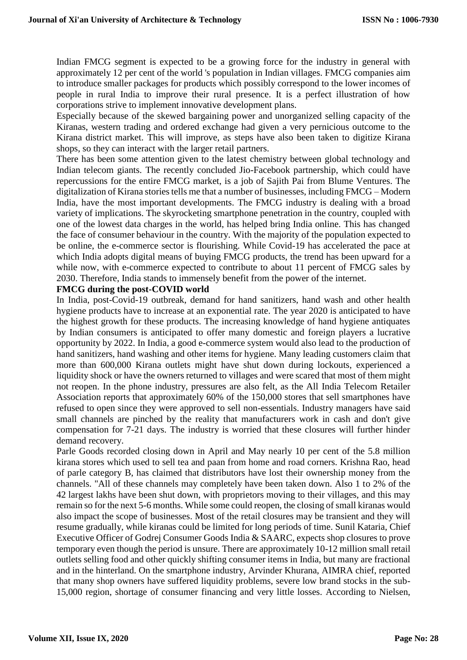Indian FMCG segment is expected to be a growing force for the industry in general with approximately 12 per cent of the world 's population in Indian villages. FMCG companies aim to introduce smaller packages for products which possibly correspond to the lower incomes of people in rural India to improve their rural presence. It is a perfect illustration of how corporations strive to implement innovative development plans.

Especially because of the skewed bargaining power and unorganized selling capacity of the Kiranas, western trading and ordered exchange had given a very pernicious outcome to the Kirana district market. This will improve, as steps have also been taken to digitize Kirana shops, so they can interact with the larger retail partners.

There has been some attention given to the latest chemistry between global technology and Indian telecom giants. The recently concluded Jio-Facebook partnership, which could have repercussions for the entire FMCG market, is a job of Sajith Pai from Blume Ventures. The digitalization of Kirana stories tells me that a number of businesses, including FMCG – Modern India, have the most important developments. The FMCG industry is dealing with a broad variety of implications. The skyrocketing smartphone penetration in the country, coupled with one of the lowest data charges in the world, has helped bring India online. This has changed the face of consumer behaviour in the country. With the majority of the population expected to be online, the e-commerce sector is flourishing. While Covid-19 has accelerated the pace at which India adopts digital means of buying FMCG products, the trend has been upward for a while now, with e-commerce expected to contribute to about 11 percent of FMCG sales by 2030. Therefore, India stands to immensely benefit from the power of the internet.

### **FMCG during the post-COVID world**

In India, post-Covid-19 outbreak, demand for hand sanitizers, hand wash and other health hygiene products have to increase at an exponential rate. The year 2020 is anticipated to have the highest growth for these products. The increasing knowledge of hand hygiene antiquates by Indian consumers is anticipated to offer many domestic and foreign players a lucrative opportunity by 2022. In India, a good e-commerce system would also lead to the production of hand sanitizers, hand washing and other items for hygiene. Many leading customers claim that more than 600,000 Kirana outlets might have shut down during lockouts, experienced a liquidity shock or have the owners returned to villages and were scared that most of them might not reopen. In the phone industry, pressures are also felt, as the All India Telecom Retailer Association reports that approximately 60% of the 150,000 stores that sell smartphones have refused to open since they were approved to sell non-essentials. Industry managers have said small channels are pinched by the reality that manufacturers work in cash and don't give compensation for 7-21 days. The industry is worried that these closures will further hinder demand recovery.

Parle Goods recorded closing down in April and May nearly 10 per cent of the 5.8 million kirana stores which used to sell tea and paan from home and road corners. Krishna Rao, head of parle category B, has claimed that distributors have lost their ownership money from the channels. "All of these channels may completely have been taken down. Also 1 to 2% of the 42 largest lakhs have been shut down, with proprietors moving to their villages, and this may remain so for the next 5-6 months. While some could reopen, the closing of small kiranas would also impact the scope of businesses. Most of the retail closures may be transient and they will resume gradually, while kiranas could be limited for long periods of time. Sunil Kataria, Chief Executive Officer of Godrej Consumer Goods India & SAARC, expects shop closures to prove temporary even though the period is unsure. There are approximately 10-12 million small retail outlets selling food and other quickly shifting consumer items in India, but many are fractional and in the hinterland. On the smartphone industry, Arvinder Khurana, AIMRA chief, reported that many shop owners have suffered liquidity problems, severe low brand stocks in the sub-15,000 region, shortage of consumer financing and very little losses. According to Nielsen,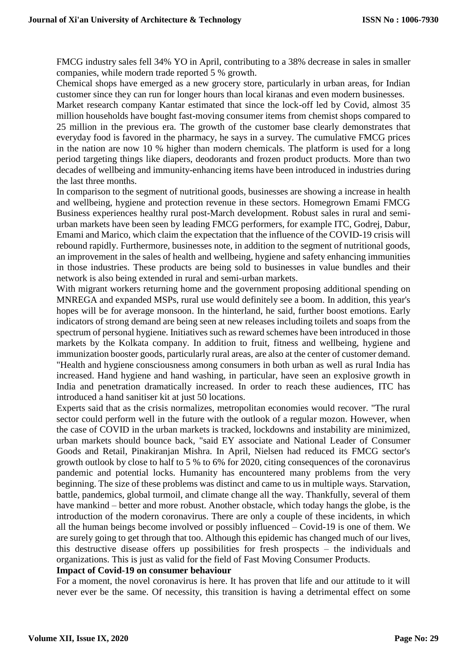FMCG industry sales fell 34% YO in April, contributing to a 38% decrease in sales in smaller companies, while modern trade reported 5 % growth.

Chemical shops have emerged as a new grocery store, particularly in urban areas, for Indian customer since they can run for longer hours than local kiranas and even modern businesses.

Market research company Kantar estimated that since the lock-off led by Covid, almost 35 million households have bought fast-moving consumer items from chemist shops compared to 25 million in the previous era. The growth of the customer base clearly demonstrates that everyday food is favored in the pharmacy, he says in a survey. The cumulative FMCG prices in the nation are now 10 % higher than modern chemicals. The platform is used for a long period targeting things like diapers, deodorants and frozen product products. More than two decades of wellbeing and immunity-enhancing items have been introduced in industries during the last three months.

In comparison to the segment of nutritional goods, businesses are showing a increase in health and wellbeing, hygiene and protection revenue in these sectors. Homegrown Emami FMCG Business experiences healthy rural post-March development. Robust sales in rural and semiurban markets have been seen by leading FMCG performers, for example ITC, Godrej, Dabur, Emami and Marico, which claim the expectation that the influence of the COVID-19 crisis will rebound rapidly. Furthermore, businesses note, in addition to the segment of nutritional goods, an improvement in the sales of health and wellbeing, hygiene and safety enhancing immunities in those industries. These products are being sold to businesses in value bundles and their network is also being extended in rural and semi-urban markets.

With migrant workers returning home and the government proposing additional spending on MNREGA and expanded MSPs, rural use would definitely see a boom. In addition, this year's hopes will be for average monsoon. In the hinterland, he said, further boost emotions. Early indicators of strong demand are being seen at new releases including toilets and soaps from the spectrum of personal hygiene. Initiatives such as reward schemes have been introduced in those markets by the Kolkata company. In addition to fruit, fitness and wellbeing, hygiene and immunization booster goods, particularly rural areas, are also at the center of customer demand. "Health and hygiene consciousness among consumers in both urban as well as rural India has increased. Hand hygiene and hand washing, in particular, have seen an explosive growth in India and penetration dramatically increased. In order to reach these audiences, ITC has introduced a hand sanitiser kit at just 50 locations.

Experts said that as the crisis normalizes, metropolitan economies would recover. "The rural sector could perform well in the future with the outlook of a regular mozon. However, when the case of COVID in the urban markets is tracked, lockdowns and instability are minimized, urban markets should bounce back, "said EY associate and National Leader of Consumer Goods and Retail, Pinakiranjan Mishra. In April, Nielsen had reduced its FMCG sector's growth outlook by close to half to 5 % to 6% for 2020, citing consequences of the coronavirus pandemic and potential locks. Humanity has encountered many problems from the very beginning. The size of these problems was distinct and came to us in multiple ways. Starvation, battle, pandemics, global turmoil, and climate change all the way. Thankfully, several of them have mankind – better and more robust. Another obstacle, which today hangs the globe, is the introduction of the modern coronavirus. There are only a couple of these incidents, in which all the human beings become involved or possibly influenced – Covid-19 is one of them. We are surely going to get through that too. Although this epidemic has changed much of our lives, this destructive disease offers up possibilities for fresh prospects – the individuals and organizations. This is just as valid for the field of Fast Moving Consumer Products.

### **Impact of Covid-19 on consumer behaviour**

For a moment, the novel coronavirus is here. It has proven that life and our attitude to it will never ever be the same. Of necessity, this transition is having a detrimental effect on some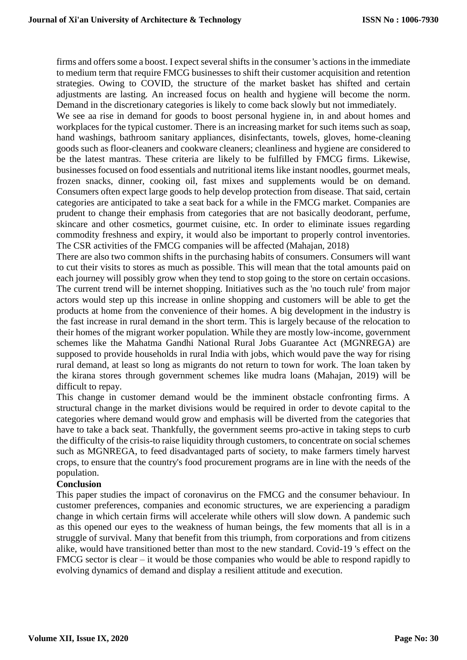firms and offers some a boost. I expect several shifts in the consumer 's actions in the immediate to medium term that require FMCG businesses to shift their customer acquisition and retention strategies. Owing to COVID, the structure of the market basket has shifted and certain adjustments are lasting. An increased focus on health and hygiene will become the norm. Demand in the discretionary categories is likely to come back slowly but not immediately.

We see aa rise in demand for goods to boost personal hygiene in, in and about homes and workplaces for the typical customer. There is an increasing market for such items such as soap, hand washings, bathroom sanitary appliances, disinfectants, towels, gloves, home-cleaning goods such as floor-cleaners and cookware cleaners; cleanliness and hygiene are considered to be the latest mantras. These criteria are likely to be fulfilled by FMCG firms. Likewise, businesses focused on food essentials and nutritional items like instant noodles, gourmet meals, frozen snacks, dinner, cooking oil, fast mixes and supplements would be on demand. Consumers often expect large goods to help develop protection from disease. That said, certain categories are anticipated to take a seat back for a while in the FMCG market. Companies are prudent to change their emphasis from categories that are not basically deodorant, perfume, skincare and other cosmetics, gourmet cuisine, etc. In order to eliminate issues regarding commodity freshness and expiry, it would also be important to properly control inventories. The CSR activities of the FMCG companies will be affected (Mahajan, 2018)

There are also two common shifts in the purchasing habits of consumers. Consumers will want to cut their visits to stores as much as possible. This will mean that the total amounts paid on each journey will possibly grow when they tend to stop going to the store on certain occasions. The current trend will be internet shopping. Initiatives such as the 'no touch rule' from major actors would step up this increase in online shopping and customers will be able to get the products at home from the convenience of their homes. A big development in the industry is the fast increase in rural demand in the short term. This is largely because of the relocation to their homes of the migrant worker population. While they are mostly low-income, government schemes like the Mahatma Gandhi National Rural Jobs Guarantee Act (MGNREGA) are supposed to provide households in rural India with jobs, which would pave the way for rising rural demand, at least so long as migrants do not return to town for work. The loan taken by the kirana stores through government schemes like mudra loans (Mahajan, 2019) will be difficult to repay.

This change in customer demand would be the imminent obstacle confronting firms. A structural change in the market divisions would be required in order to devote capital to the categories where demand would grow and emphasis will be diverted from the categories that have to take a back seat. Thankfully, the government seems pro-active in taking steps to curb the difficulty of the crisis-to raise liquidity through customers, to concentrate on social schemes such as MGNREGA, to feed disadvantaged parts of society, to make farmers timely harvest crops, to ensure that the country's food procurement programs are in line with the needs of the population.

### **Conclusion**

This paper studies the impact of coronavirus on the FMCG and the consumer behaviour. In customer preferences, companies and economic structures, we are experiencing a paradigm change in which certain firms will accelerate while others will slow down. A pandemic such as this opened our eyes to the weakness of human beings, the few moments that all is in a struggle of survival. Many that benefit from this triumph, from corporations and from citizens alike, would have transitioned better than most to the new standard. Covid-19 's effect on the FMCG sector is clear – it would be those companies who would be able to respond rapidly to evolving dynamics of demand and display a resilient attitude and execution.